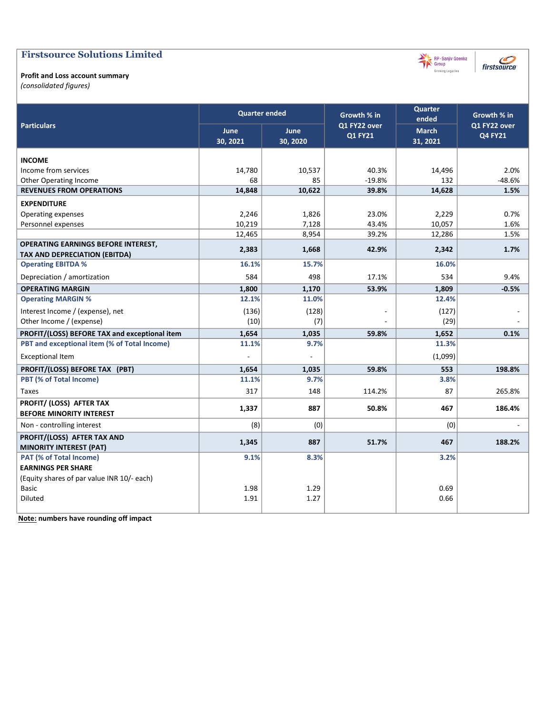### Firstsource Solutions Limited

#### Profit and Loss account summary

(consolidated figures)

|                                                                                    | <b>Quarter ended</b>    |                         | Growth % in                    | <b>Quarter</b><br>ended  | Growth % in                    |
|------------------------------------------------------------------------------------|-------------------------|-------------------------|--------------------------------|--------------------------|--------------------------------|
| <b>Particulars</b>                                                                 | <b>June</b><br>30, 2021 | <b>June</b><br>30, 2020 | Q1 FY22 over<br><b>Q1 FY21</b> | <b>March</b><br>31, 2021 | Q1 FY22 over<br><b>Q4 FY21</b> |
| <b>INCOME</b>                                                                      |                         |                         |                                |                          |                                |
| Income from services                                                               | 14,780                  | 10,537                  | 40.3%                          | 14,496                   | 2.0%                           |
| Other Operating Income                                                             | 68                      | 85                      | $-19.8%$                       | 132                      | $-48.6%$                       |
| <b>REVENUES FROM OPERATIONS</b>                                                    | 14,848                  | 10,622                  | 39.8%                          | 14,628                   | 1.5%                           |
| <b>EXPENDITURE</b>                                                                 |                         |                         |                                |                          |                                |
| Operating expenses                                                                 | 2,246                   | 1,826                   | 23.0%                          | 2,229                    | 0.7%                           |
| Personnel expenses                                                                 | 10,219                  | 7,128                   | 43.4%                          | 10,057                   | 1.6%                           |
|                                                                                    | 12,465                  | 8,954                   | 39.2%                          | 12,286                   | 1.5%                           |
| <b>OPERATING EARNINGS BEFORE INTEREST,</b><br><b>TAX AND DEPRECIATION (EBITDA)</b> | 2,383                   | 1,668                   | 42.9%                          | 2,342                    | 1.7%                           |
| <b>Operating EBITDA %</b>                                                          | 16.1%                   | 15.7%                   |                                | 16.0%                    |                                |
| Depreciation / amortization                                                        | 584                     | 498                     | 17.1%                          | 534                      | 9.4%                           |
| <b>OPERATING MARGIN</b>                                                            | 1,800                   | 1,170                   | 53.9%                          | 1,809                    | $-0.5%$                        |
| <b>Operating MARGIN %</b>                                                          | 12.1%                   | 11.0%                   |                                | 12.4%                    |                                |
| Interest Income / (expense), net                                                   | (136)                   | (128)                   |                                | (127)                    |                                |
| Other Income / (expense)                                                           | (10)                    | (7)                     |                                | (29)                     |                                |
| PROFIT/(LOSS) BEFORE TAX and exceptional item                                      | 1,654                   | 1,035                   | 59.8%                          | 1,652                    | 0.1%                           |
| PBT and exceptional item (% of Total Income)                                       | 11.1%                   | 9.7%                    |                                | 11.3%                    |                                |
| <b>Exceptional Item</b>                                                            |                         |                         |                                | (1,099)                  |                                |
| PROFIT/(LOSS) BEFORE TAX (PBT)                                                     | 1,654                   | 1,035                   | 59.8%                          | 553                      | 198.8%                         |
| PBT (% of Total Income)                                                            | 11.1%                   | 9.7%                    |                                | 3.8%                     |                                |
| <b>Taxes</b>                                                                       | 317                     | 148                     | 114.2%                         | 87                       | 265.8%                         |
| PROFIT/ (LOSS) AFTER TAX                                                           | 1,337                   | 887                     | 50.8%                          | 467                      | 186.4%                         |
| <b>BEFORE MINORITY INTEREST</b>                                                    |                         |                         |                                |                          |                                |
| Non - controlling interest                                                         | (8)                     | (0)                     |                                | (0)                      |                                |
| PROFIT/(LOSS) AFTER TAX AND                                                        | 1,345                   | 887                     | 51.7%                          | 467                      | 188.2%                         |
| <b>MINORITY INTEREST (PAT)</b>                                                     |                         |                         |                                |                          |                                |
| PAT (% of Total Income)                                                            | 9.1%                    | 8.3%                    |                                | 3.2%                     |                                |
| <b>EARNINGS PER SHARE</b>                                                          |                         |                         |                                |                          |                                |
| (Equity shares of par value INR 10/- each)                                         |                         |                         |                                |                          |                                |
| <b>Basic</b>                                                                       | 1.98                    | 1.29                    |                                | 0.69                     |                                |
| <b>Diluted</b>                                                                     | 1.91                    | 1.27                    |                                | 0.66                     |                                |
|                                                                                    |                         |                         |                                |                          |                                |

Note: numbers have rounding off impact



firstsource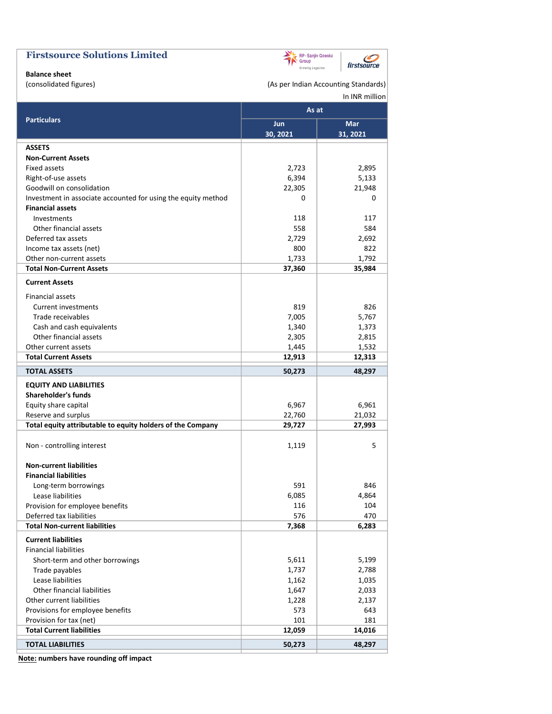| <b>Firstsource Solutions Limited</b>                                                     | Group            | RP-Sanjiv Goenka<br>firstsource      |
|------------------------------------------------------------------------------------------|------------------|--------------------------------------|
| <b>Balance sheet</b>                                                                     | Growing Legacies |                                      |
| (consolidated figures)                                                                   |                  | (As per Indian Accounting Standards) |
|                                                                                          |                  | In INR million                       |
|                                                                                          | As at            |                                      |
| <b>Particulars</b>                                                                       | Jun              | <b>Mar</b>                           |
|                                                                                          | 30, 2021         | 31, 2021                             |
| <b>ASSETS</b>                                                                            |                  |                                      |
| <b>Non-Current Assets</b>                                                                |                  |                                      |
| Fixed assets                                                                             | 2,723            | 2,895                                |
| Right-of-use assets                                                                      | 6,394            | 5,133                                |
| Goodwill on consolidation                                                                | 22,305           | 21,948                               |
| Investment in associate accounted for using the equity method<br><b>Financial assets</b> | 0                | 0                                    |
| Investments                                                                              | 118              | 117                                  |
| Other financial assets                                                                   | 558              | 584                                  |
| Deferred tax assets                                                                      | 2,729            | 2,692                                |
| Income tax assets (net)                                                                  | 800              | 822                                  |
| Other non-current assets                                                                 | 1,733            | 1,792                                |
| <b>Total Non-Current Assets</b>                                                          | 37,360           | 35,984                               |
| <b>Current Assets</b>                                                                    |                  |                                      |
| <b>Financial assets</b>                                                                  |                  |                                      |
| Current investments                                                                      | 819              | 826                                  |
| Trade receivables                                                                        | 7,005            | 5,767                                |
| Cash and cash equivalents                                                                | 1,340            | 1,373                                |
| Other financial assets                                                                   | 2,305            | 2,815                                |
| Other current assets                                                                     | 1,445            | 1,532                                |
| <b>Total Current Assets</b>                                                              | 12,913           | 12,313                               |
| <b>TOTAL ASSETS</b>                                                                      | 50,273           | 48,297                               |
| <b>EQUITY AND LIABILITIES</b>                                                            |                  |                                      |
| <b>Shareholder's funds</b>                                                               |                  |                                      |
| Equity share capital                                                                     | 6,967            | 6,961                                |
| Reserve and surplus                                                                      | 22,760           | 21,032                               |
| Total equity attributable to equity holders of the Company                               | 29,727           | 27,993                               |
| Non - controlling interest                                                               | 1,119            | 5                                    |
| <b>Non-current liabilities</b>                                                           |                  |                                      |
| <b>Financial liabilities</b>                                                             |                  |                                      |
| Long-term borrowings                                                                     | 591              | 846                                  |
| Lease liabilities                                                                        | 6,085            | 4,864                                |
| Provision for employee benefits                                                          | 116              | 104                                  |
| Deferred tax liabilities                                                                 | 576              | 470                                  |
| <b>Total Non-current liabilities</b>                                                     | 7,368            | 6,283                                |
| <b>Current liabilities</b>                                                               |                  |                                      |
| <b>Financial liabilities</b>                                                             |                  |                                      |
| Short-term and other borrowings                                                          | 5,611            | 5,199                                |
| Trade payables                                                                           | 1,737            | 2,788                                |
| Lease liabilities                                                                        | 1,162            | 1,035                                |
| Other financial liabilities                                                              | 1,647            | 2,033                                |
| Other current liabilities                                                                | 1,228            | 2,137                                |
| Provisions for employee benefits<br>Provision for tax (net)                              | 573<br>101       | 643<br>181                           |
| <b>Total Current liabilities</b>                                                         | 12,059           | 14,016                               |
|                                                                                          |                  |                                      |
| <b>TOTAL LIABILITIES</b>                                                                 | 50,273           | 48,297                               |

Note: numbers have rounding off impact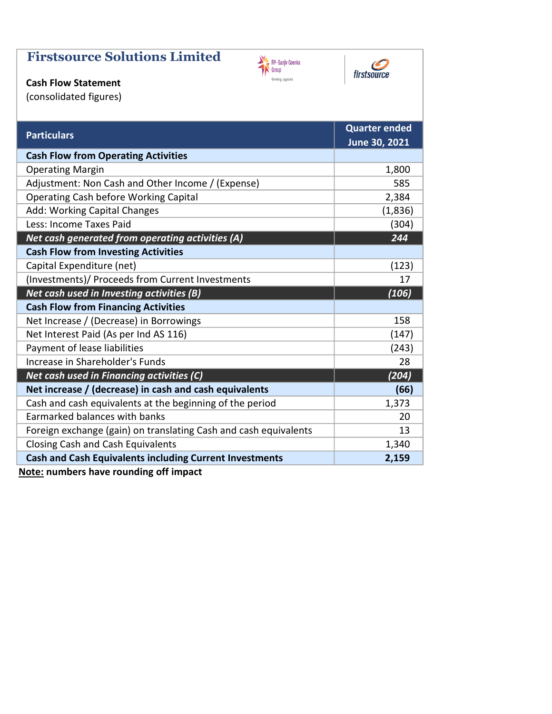# Firstsource Solutions Limited





## Cash Flow Statement

(consolidated figures)

| <b>Particulars</b>                                               | <b>Quarter ended</b> |
|------------------------------------------------------------------|----------------------|
|                                                                  | June 30, 2021        |
| <b>Cash Flow from Operating Activities</b>                       |                      |
| <b>Operating Margin</b>                                          | 1,800                |
| Adjustment: Non Cash and Other Income / (Expense)                | 585                  |
| <b>Operating Cash before Working Capital</b>                     | 2,384                |
| Add: Working Capital Changes                                     | (1,836)              |
| Less: Income Taxes Paid                                          | (304)                |
| Net cash generated from operating activities (A)                 | 244                  |
| <b>Cash Flow from Investing Activities</b>                       |                      |
| Capital Expenditure (net)                                        | (123)                |
| (Investments)/ Proceeds from Current Investments                 | 17                   |
| Net cash used in Investing activities (B)                        | (106)                |
| <b>Cash Flow from Financing Activities</b>                       |                      |
| Net Increase / (Decrease) in Borrowings                          | 158                  |
| Net Interest Paid (As per Ind AS 116)                            | (147)                |
| Payment of lease liabilities                                     | (243)                |
| Increase in Shareholder's Funds                                  | 28                   |
| Net cash used in Financing activities (C)                        | (204)                |
| Net increase / (decrease) in cash and cash equivalents           | (66)                 |
| Cash and cash equivalents at the beginning of the period         | 1,373                |
| Earmarked balances with banks                                    | 20                   |
| Foreign exchange (gain) on translating Cash and cash equivalents | 13                   |
| <b>Closing Cash and Cash Equivalents</b>                         | 1,340                |
| <b>Cash and Cash Equivalents including Current Investments</b>   | 2,159                |
|                                                                  |                      |

Note: numbers have rounding off impact